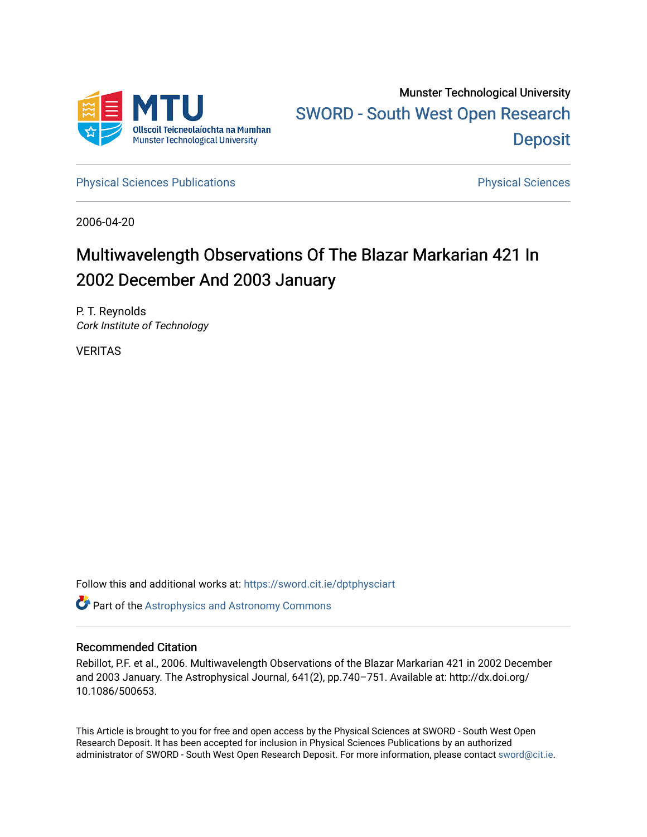

[Physical Sciences Publications](https://sword.cit.ie/dptphysciart) **Physical Sciences** Physical Sciences

2006-04-20

# Multiwavelength Observations Of The Blazar Markarian 421 In 2002 December And 2003 January

P. T. Reynolds Cork Institute of Technology

VERITAS

Follow this and additional works at: [https://sword.cit.ie/dptphysciart](https://sword.cit.ie/dptphysciart?utm_source=sword.cit.ie%2Fdptphysciart%2F50&utm_medium=PDF&utm_campaign=PDFCoverPages)

Part of the [Astrophysics and Astronomy Commons](http://network.bepress.com/hgg/discipline/123?utm_source=sword.cit.ie%2Fdptphysciart%2F50&utm_medium=PDF&utm_campaign=PDFCoverPages) 

# Recommended Citation

Rebillot, P.F. et al., 2006. Multiwavelength Observations of the Blazar Markarian 421 in 2002 December and 2003 January. The Astrophysical Journal, 641(2), pp.740–751. Available at: http://dx.doi.org/ 10.1086/500653.

This Article is brought to you for free and open access by the Physical Sciences at SWORD - South West Open Research Deposit. It has been accepted for inclusion in Physical Sciences Publications by an authorized administrator of SWORD - South West Open Research Deposit. For more information, please contact [sword@cit.ie.](mailto:sword@cit.ie)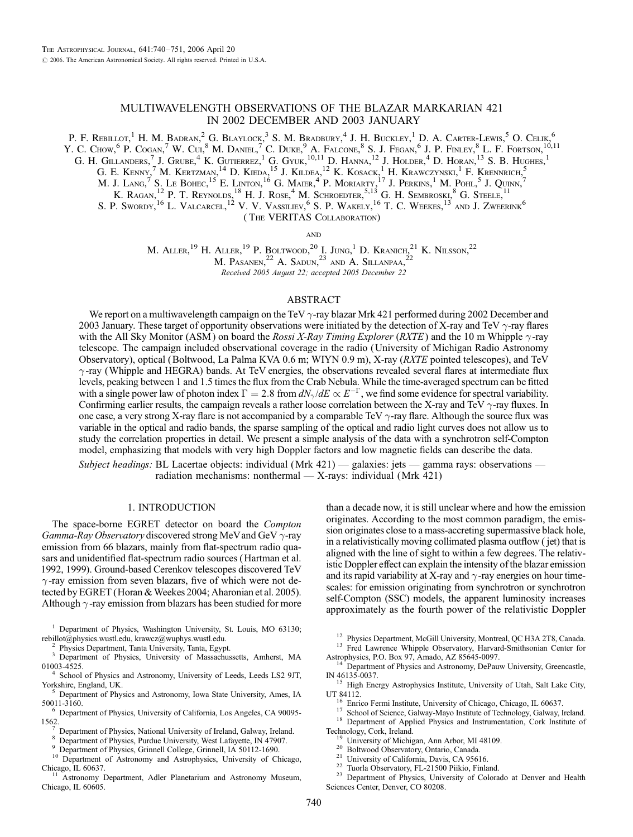# MULTIWAVELENGTH OBSERVATIONS OF THE BLAZAR MARKARIAN 421 IN 2002 DECEMBER AND 2003 JANUARY

P. F. REBILLOT,<sup>1</sup> H. M. BADRAN,<sup>2</sup> G. BLAYLOCK,<sup>3</sup> S. M. Bradbury,<sup>4</sup> J. H. Buckley,<sup>1</sup> D. A. Carter-Lewis,<sup>5</sup> O. Celik,<sup>6</sup> Y. C. Chow,  $6$  P. Cogan,<sup>7</sup> W. Cui,  $8$  M. Daniel,  $7$  C. Duke,  $9$  A. Falcone,  $8$  S. J. Fegan,  $6$  J. P. Finley,  $8$  L. F. Fortson,  $10,11$ G. H. GILLANDERS,<sup>7</sup> J. GRUBE,<sup>4</sup> K. GUTIERREZ,<sup>1</sup> G. GYUK,<sup>10,11</sup> D. HANNA,<sup>12</sup> J. HOLDER,<sup>4</sup> D. HORAN,<sup>13</sup> S. B. HUGHES,<sup>1</sup> G. E. Kenny,<sup>7</sup> M. Kertzman,<sup>14</sup> D. Kieda,<sup>15</sup> J. Kildea,<sup>12</sup> K. Kosack,<sup>1</sup> H. Krawczynski,<sup>1</sup> F. Krennrich,<sup>5</sup> M. J. Lang,  $^7$  S. Le Bohec,  $^{15}$  E. Linton,  $^{16}$  G. Maier,  $^4$  P. Moriarty,  $^{17}$  J. Perkins,  $^1$  M. Pohl,  $^5$  J. Ouinn,  $^7$ K. RAGAN, <sup>12</sup> P. T. REYNOLDS, <sup>18</sup> H. J. ROSE, <sup>4</sup> M. SCHROEDTER, <sup>5,13</sup> G. H. SEMBROSKI, <sup>8</sup> G. STEELE, <sup>11</sup> S. P. Swordy,<sup>16</sup> L. Valcarcel,<sup>12</sup> V. V. Vassiliev,<sup>6</sup> S. P. Wakely,<sup>16</sup> T. C. Weekes,<sup>13</sup> and J. Zweerink<sup>6</sup>

( The VERITAS Collaboration)

**AND** 

M. ALLER,  $^{19}$  H. Aller,  $^{19}$  P. Boltwood,  $^{20}$  I. Jung,  $^{1}$  D. Kranich,  $^{21}$  K. Nilsson,  $^{22}$ M. PASANEN,  $^{22}$  A. Sadun,  $^{23}$  and A. Sillanpaa,  $^{22}$ Received 2005 August 22; accepted 2005 December 22

# ABSTRACT

We report on a multiwavelength campaign on the TeV  $\gamma$ -ray blazar Mrk 421 performed during 2002 December and 2003 January. These target of opportunity observations were initiated by the detection of X-ray and TeV  $\gamma$ -ray flares with the All Sky Monitor (ASM) on board the *Rossi X-Ray Timing Explorer* (*RXTE*) and the 10 m Whipple  $\gamma$ -ray telescope. The campaign included observational coverage in the radio (University of Michigan Radio Astronomy Observatory), optical (Boltwood, La Palma KVA 0.6 m; WIYN 0.9 m), X-ray (RXTE pointed telescopes), and TeV  $\gamma$ -ray (Whipple and HEGRA) bands. At TeV energies, the observations revealed several flares at intermediate flux levels, peaking between 1 and 1.5 times the flux from the Crab Nebula. While the time-averaged spectrum can be fitted with a single power law of photon index  $\Gamma = 2.8$  from  $dN/dE \propto E^{-\Gamma}$ , we find some evidence for spectral variability. Confirming earlier results, the campaign reveals a rather loose correlation between the X-ray and TeV  $\gamma$ -ray fluxes. In one case, a very strong X-ray flare is not accompanied by a comparable TeV  $\gamma$ -ray flare. Although the source flux was variable in the optical and radio bands, the sparse sampling of the optical and radio light curves does not allow us to study the correlation properties in detail. We present a simple analysis of the data with a synchrotron self-Compton model, emphasizing that models with very high Doppler factors and low magnetic fields can describe the data.

Subject headings: BL Lacertae objects: individual (Mrk  $421$ ) — galaxies: jets — gamma rays: observations radiation mechanisms: nonthermal — X-rays: individual (Mrk 421)

## 1. INTRODUCTION

The space-borne EGRET detector on board the Compton Gamma-Ray Observatory discovered strong MeV and GeV  $\gamma$ -ray emission from 66 blazars, mainly from flat-spectrum radio quasars and unidentified flat-spectrum radio sources (Hartman et al. 1992, 1999). Ground-based Cerenkov telescopes discovered TeV  $\gamma$ -ray emission from seven blazars, five of which were not detected by EGRET (Horan & Weekes 2004; Aharonian et al. 2005). Although  $\gamma$ -ray emission from blazars has been studied for more

<sup>1</sup> Department of Physics, Washington University, St. Louis, MO 63130; rebillot@physics.wustl.edu, krawcz@wuphys.wustl.edu.

<sup>2</sup> Physics Department, Tanta University, Tanta, Egypt.<br><sup>3</sup> Department of Physics, University of Massachussetts, Amherst, MA<br>01003-4525.

School of Physics and Astronomy, University of Leeds, Leeds LS2 9JT,

Yorkshire, England, UK.<br>
<sup>5</sup> Department of Physics and Astronomy, Iowa State University, Ames, IA<br>
50011-3160.

 $6$  Department of Physics, University of California, Los Angeles, CA 90095-

1562.<br>
<sup>7</sup> Department of Physics, National University of Ireland, Galway, Ireland.<br>
<sup>8</sup> Department of Physics, Purdue University, West Lafayette, IN 47907.<br>
<sup>9</sup> Department of Physics, Grinnell College, Grinnell, IA 50112-1

Astronomy Department, Adler Planetarium and Astronomy Museum, Chicago, IL 60605.

than a decade now, it is still unclear where and how the emission originates. According to the most common paradigm, the emission originates close to a mass-accreting supermassive black hole, in a relativistically moving collimated plasma outflow ( jet) that is aligned with the line of sight to within a few degrees. The relativistic Doppler effect can explain the intensity of the blazar emission and its rapid variability at X-ray and  $\gamma$ -ray energies on hour timescales: for emission originating from synchrotron or synchrotron self-Compton (SSC) models, the apparent luminosity increases approximately as the fourth power of the relativistic Doppler

<sup>12</sup> Physics Department, McGill University, Montreal, QC H3A 2T8, Canada.  $13$  Fred Lawrence Whipple Observatory, Harvard-Smithsonian Center for

Astrophysics, P.O. Box 97, Amado, AZ 85645-0097.<br><sup>14</sup> Department of Physics and Astronomy, DePauw University, Greencastle,

IN 46135-0037. <sup>15</sup> High Energy Astrophysics Institute, University of Utah, Salt Lake City,

UT 84112.<br><sup>16</sup> Enrico Fermi Institute, University of Chicago, Chicago, IL 60637.<br><sup>17</sup> School of Science, Galway-Mayo Institute of Technology, Galway, Ireland.<br><sup>18</sup> Department of Applied Physics and Instrumentation, Cork In

<sup>19</sup> University of Michigan, Ann Arbor, MI 48109.<br>
<sup>20</sup> Boltwood Observatory, Ontario, Canada.<br>
<sup>21</sup> University of California, Davis, CA 95616.<br>
<sup>22</sup> Tuorla Observatory, FL-21500 Piikio, Finland.<br>
<sup>23</sup> Department of Physi Sciences Center, Denver, CO 80208.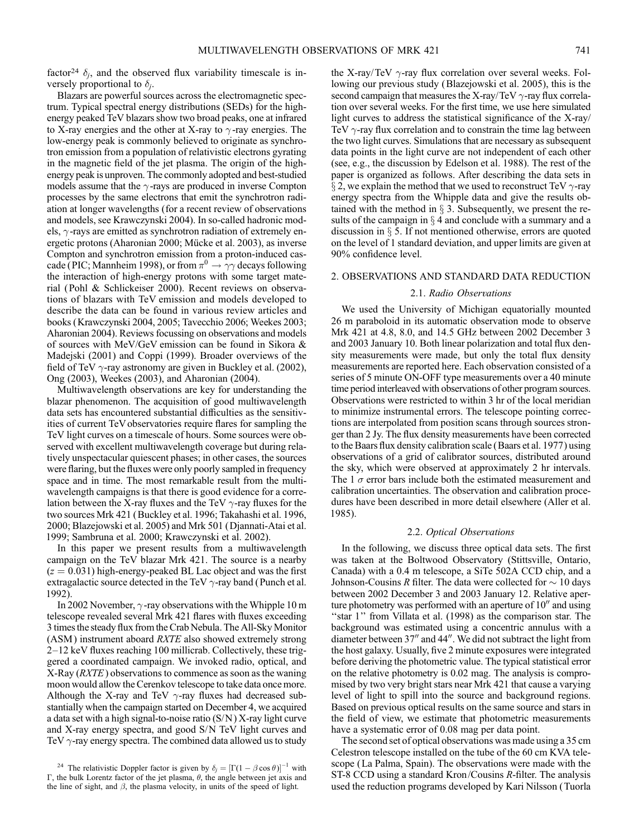factor<sup>24</sup>  $\delta_j$ , and the observed flux variability timescale is inversely proportional to  $\delta_j$ .

Blazars are powerful sources across the electromagnetic spectrum. Typical spectral energy distributions (SEDs) for the highenergy peaked TeV blazars show two broad peaks, one at infrared to X-ray energies and the other at X-ray to  $\gamma$ -ray energies. The low-energy peak is commonly believed to originate as synchrotron emission from a population of relativistic electrons gyrating in the magnetic field of the jet plasma. The origin of the highenergy peak is unproven. The commonly adopted and best-studied models assume that the  $\gamma$ -rays are produced in inverse Compton processes by the same electrons that emit the synchrotron radiation at longer wavelengths (for a recent review of observations and models, see Krawczynski 2004). In so-called hadronic models,  $\gamma$ -rays are emitted as synchrotron radiation of extremely energetic protons (Aharonian 2000; Mücke et al. 2003), as inverse Compton and synchrotron emission from a proton-induced cascade (PIC; Mannheim 1998), or from  $\pi^0 \to \gamma \gamma$  decays following the interaction of high-energy protons with some target material (Pohl & Schlickeiser 2000). Recent reviews on observations of blazars with TeV emission and models developed to describe the data can be found in various review articles and books (Krawczynski 2004, 2005; Tavecchio 2006; Weekes 2003; Aharonian 2004). Reviews focussing on observations and models of sources with MeV/GeV emission can be found in Sikora & Madejski (2001) and Coppi (1999). Broader overviews of the field of TeV  $\gamma$ -ray astronomy are given in Buckley et al. (2002), Ong (2003), Weekes (2003), and Aharonian (2004).

Multiwavelength observations are key for understanding the blazar phenomenon. The acquisition of good multiwavelength data sets has encountered substantial difficulties as the sensitivities of current TeV observatories require flares for sampling the TeV light curves on a timescale of hours. Some sources were observed with excellent multiwavelength coverage but during relatively unspectacular quiescent phases; in other cases, the sources were flaring, but the fluxes were only poorly sampled in frequency space and in time. The most remarkable result from the multiwavelength campaigns is that there is good evidence for a correlation between the X-ray fluxes and the TeV  $\gamma$ -ray fluxes for the two sources Mrk 421 (Buckley et al. 1996; Takahashi et al. 1996, 2000; Blazejowski et al. 2005) and Mrk 501 (Djannati-Atai et al. 1999; Sambruna et al. 2000; Krawczynski et al. 2002).

In this paper we present results from a multiwavelength campaign on the TeV blazar Mrk 421. The source is a nearby  $(z = 0.031)$  high-energy-peaked BL Lac object and was the first extragalactic source detected in the TeV  $\gamma$ -ray band (Punch et al. 1992).

In 2002 November,  $\gamma$ -ray observations with the Whipple 10 m telescope revealed several Mrk 421 flares with fluxes exceeding 3 times the steady flux from the Crab Nebula. The All-SkyMonitor (ASM) instrument aboard RXTE also showed extremely strong 2–12 keV fluxes reaching 100 millicrab. Collectively, these triggered a coordinated campaign. We invoked radio, optical, and X-Ray (RXTE) observations to commence as soon as the waning moon would allow the Cerenkov telescope to take data once more. Although the X-ray and TeV  $\gamma$ -ray fluxes had decreased substantially when the campaign started on December 4, we acquired a data set with a high signal-to-noise ratio  $(S/N)$  X-ray light curve and X-ray energy spectra, and good S/N TeV light curves and TeV  $\gamma$ -ray energy spectra. The combined data allowed us to study the X-ray/TeV  $\gamma$ -ray flux correlation over several weeks. Following our previous study (Blazejowski et al. 2005), this is the second campaign that measures the X-ray/TeV  $\gamma$ -ray flux correlation over several weeks. For the first time, we use here simulated light curves to address the statistical significance of the X-ray/ TeV  $\gamma$ -ray flux correlation and to constrain the time lag between the two light curves. Simulations that are necessary as subsequent data points in the light curve are not independent of each other (see, e.g., the discussion by Edelson et al. 1988). The rest of the paper is organized as follows. After describing the data sets in  $\S 2$ , we explain the method that we used to reconstruct TeV  $\gamma$ -ray energy spectra from the Whipple data and give the results obtained with the method in  $\S$  3. Subsequently, we present the results of the campaign in  $\S 4$  and conclude with a summary and a discussion in  $\S$  5. If not mentioned otherwise, errors are quoted on the level of 1 standard deviation, and upper limits are given at 90% confidence level.

## 2. OBSERVATIONS AND STANDARD DATA REDUCTION

## 2.1. Radio Observations

We used the University of Michigan equatorially mounted 26 m paraboloid in its automatic observation mode to observe Mrk 421 at 4.8, 8.0, and 14.5 GHz between 2002 December 3 and 2003 January 10. Both linear polarization and total flux density measurements were made, but only the total flux density measurements are reported here. Each observation consisted of a series of 5 minute ON-OFF type measurements over a 40 minute time period interleaved with observations of other program sources. Observations were restricted to within 3 hr of the local meridian to minimize instrumental errors. The telescope pointing corrections are interpolated from position scans through sources stronger than 2 Jy. The flux density measurements have been corrected to the Baars flux density calibration scale (Baars et al. 1977) using observations of a grid of calibrator sources, distributed around the sky, which were observed at approximately 2 hr intervals. The 1  $\sigma$  error bars include both the estimated measurement and calibration uncertainties. The observation and calibration procedures have been described in more detail elsewhere (Aller et al. 1985).

#### 2.2. Optical Observations

In the following, we discuss three optical data sets. The first was taken at the Boltwood Observatory (Stittsville, Ontario, Canada) with a 0.4 m telescope, a SiTe 502A CCD chip, and a Johnson-Cousins R filter. The data were collected for  $\sim$  10 days between 2002 December 3 and 2003 January 12. Relative aperture photometry was performed with an aperture of  $10<sup>′</sup>$  and using "star 1" from Villata et al. (1998) as the comparison star. The background was estimated using a concentric annulus with a diameter between  $37<sup>′</sup>$  and  $44<sup>′</sup>$ . We did not subtract the light from the host galaxy. Usually, five 2 minute exposures were integrated before deriving the photometric value. The typical statistical error on the relative photometry is 0.02 mag. The analysis is compromised by two very bright stars near Mrk 421 that cause a varying level of light to spill into the source and background regions. Based on previous optical results on the same source and stars in the field of view, we estimate that photometric measurements have a systematic error of 0.08 mag per data point.

The second set of optical observations was made using a 35 cm Celestron telescope installed on the tube of the 60 cm KVA telescope (La Palma, Spain). The observations were made with the ST-8 CCD using a standard Kron/Cousins R-filter. The analysis used the reduction programs developed by Kari Nilsson (Tuorla

<sup>&</sup>lt;sup>24</sup> The relativistic Doppler factor is given by  $\delta_j = [\Gamma(1 - \beta \cos \theta)]^{-1}$  with  $\Gamma$ , the bulk Lorentz factor of the jet plasma,  $\theta$ , the angle between jet axis and the line of sight, and  $\beta$ , the plasma velocity, in units of the speed of light.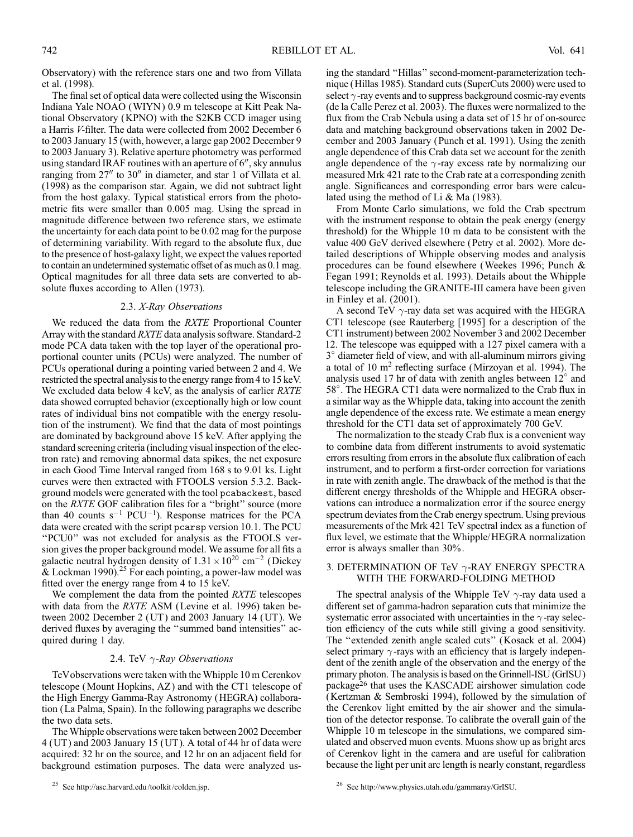Observatory) with the reference stars one and two from Villata et al. (1998).

The final set of optical data were collected using the Wisconsin Indiana Yale NOAO (WIYN ) 0.9 m telescope at Kitt Peak National Observatory (KPNO) with the S2KB CCD imager using a Harris V-filter. The data were collected from 2002 December 6 to 2003 January 15 (with, however, a large gap 2002 December 9 to 2003 January 3). Relative aperture photometry was performed using standard IRAF routines with an aperture of  $6^{\prime\prime}$ , sky annulus ranging from  $27''$  to  $30''$  in diameter, and star 1 of Villata et al. (1998) as the comparison star. Again, we did not subtract light from the host galaxy. Typical statistical errors from the photometric fits were smaller than 0.005 mag. Using the spread in magnitude difference between two reference stars, we estimate the uncertainty for each data point to be 0.02 mag for the purpose of determining variability. With regard to the absolute flux, due to the presence of host-galaxy light, we expect the values reported to contain an undetermined systematic offset of as much as 0.1 mag. Optical magnitudes for all three data sets are converted to absolute fluxes according to Allen (1973).

## 2.3. X-Ray Observations

We reduced the data from the RXTE Proportional Counter Array with the standard RXTE data analysis software. Standard-2 mode PCA data taken with the top layer of the operational proportional counter units (PCUs) were analyzed. The number of PCUs operational during a pointing varied between 2 and 4. We restricted the spectral analysis to the energy range from 4 to 15 keV. We excluded data below 4 keV, as the analysis of earlier RXTE data showed corrupted behavior (exceptionally high or low count rates of individual bins not compatible with the energy resolution of the instrument). We find that the data of most pointings are dominated by background above 15 keV. After applying the standard screening criteria (including visual inspection of the electron rate) and removing abnormal data spikes, the net exposure in each Good Time Interval ranged from 168 s to 9.01 ks. Light curves were then extracted with FTOOLS version 5.3.2. Background models were generated with the tool pcabackest, based on the RXTE GOF calibration files for a ''bright'' source (more than 40 counts  $s^{-1}$  PCU<sup>-1</sup>). Response matrices for the PCA data were created with the script pcarsp version 10.1. The PCU ''PCU0'' was not excluded for analysis as the FTOOLS version gives the proper background model. We assume for all fits a galactic neutral hydrogen density of  $1.31 \times 10^{20}$  cm<sup>-2</sup> (Dickey & Lockman 1990).<sup>25</sup> For each pointing, a power-law model was fitted over the energy range from 4 to 15 keV.

We complement the data from the pointed RXTE telescopes with data from the RXTE ASM (Levine et al. 1996) taken between 2002 December 2 (UT) and 2003 January 14 (UT). We derived fluxes by averaging the ''summed band intensities'' acquired during 1 day.

#### 2.4. TeV  $\gamma$ -Ray Observations

TeVobservations were taken with the Whipple 10 m Cerenkov telescope (Mount Hopkins, AZ ) and with the CT1 telescope of the High Energy Gamma-Ray Astronomy (HEGRA) collaboration (La Palma, Spain). In the following paragraphs we describe the two data sets.

The Whipple observations were taken between 2002 December 4 (UT) and 2003 January 15 (UT). A total of 44 hr of data were acquired: 32 hr on the source, and 12 hr on an adjacent field for background estimation purposes. The data were analyzed using the standard ''Hillas'' second-moment-parameterization technique (Hillas 1985). Standard cuts (SuperCuts 2000) were used to select  $\gamma$ -ray events and to suppress background cosmic-ray events (de la Calle Perez et al. 2003). The fluxes were normalized to the flux from the Crab Nebula using a data set of 15 hr of on-source data and matching background observations taken in 2002 December and 2003 January (Punch et al. 1991). Using the zenith angle dependence of this Crab data set we account for the zenith angle dependence of the  $\gamma$ -ray excess rate by normalizing our measured Mrk 421 rate to the Crab rate at a corresponding zenith angle. Significances and corresponding error bars were calculated using the method of Li & Ma (1983).

From Monte Carlo simulations, we fold the Crab spectrum with the instrument response to obtain the peak energy (energy threshold) for the Whipple 10 m data to be consistent with the value 400 GeV derived elsewhere (Petry et al. 2002). More detailed descriptions of Whipple observing modes and analysis procedures can be found elsewhere (Weekes 1996; Punch & Fegan 1991; Reynolds et al. 1993). Details about the Whipple telescope including the GRANITE-III camera have been given in Finley et al. (2001).

A second TeV  $\gamma$ -ray data set was acquired with the HEGRA CT1 telescope (see Rauterberg [1995] for a description of the CT1 instrument) between 2002 November 3 and 2002 December 12. The telescope was equipped with a 127 pixel camera with a  $3^\circ$  diameter field of view, and with all-aluminum mirrors giving a total of 10  $\text{m}^2$  reflecting surface (Mirzoyan et al. 1994). The analysis used 17 hr of data with zenith angles between  $12^{\circ}$  and 58 . The HEGRA CT1 data were normalized to the Crab flux in a similar way as the Whipple data, taking into account the zenith angle dependence of the excess rate. We estimate a mean energy threshold for the CT1 data set of approximately 700 GeV.

The normalization to the steady Crab flux is a convenient way to combine data from different instruments to avoid systematic errors resulting from errors in the absolute flux calibration of each instrument, and to perform a first-order correction for variations in rate with zenith angle. The drawback of the method is that the different energy thresholds of the Whipple and HEGRA observations can introduce a normalization error if the source energy spectrum deviates from the Crab energy spectrum. Using previous measurements of the Mrk 421 TeV spectral index as a function of flux level, we estimate that the Whipple/HEGRA normalization error is always smaller than 30%.

## 3. DETERMINATION OF TeV  $\gamma$ -RAY ENERGY SPECTRA WITH THE FORWARD-FOLDING METHOD

The spectral analysis of the Whipple TeV  $\gamma$ -ray data used a different set of gamma-hadron separation cuts that minimize the systematic error associated with uncertainties in the  $\gamma$ -ray selection efficiency of the cuts while still giving a good sensitivity. The ''extended zenith angle scaled cuts'' (Kosack et al. 2004) select primary  $\gamma$ -rays with an efficiency that is largely independent of the zenith angle of the observation and the energy of the primary photon. The analysis is based on the Grinnell-ISU (GrISU ) package26 that uses the KASCADE airshower simulation code (Kertzman & Sembroski 1994), followed by the simulation of the Cerenkov light emitted by the air shower and the simulation of the detector response. To calibrate the overall gain of the Whipple 10 m telescope in the simulations, we compared simulated and observed muon events. Muons show up as bright arcs of Cerenkov light in the camera and are useful for calibration because the light per unit arc length is nearly constant, regardless

<sup>&</sup>lt;sup>25</sup> See http://asc.harvard.edu/toolkit/colden.jsp. <sup>26</sup> See http://www.physics.utah.edu/gammaray/GrISU.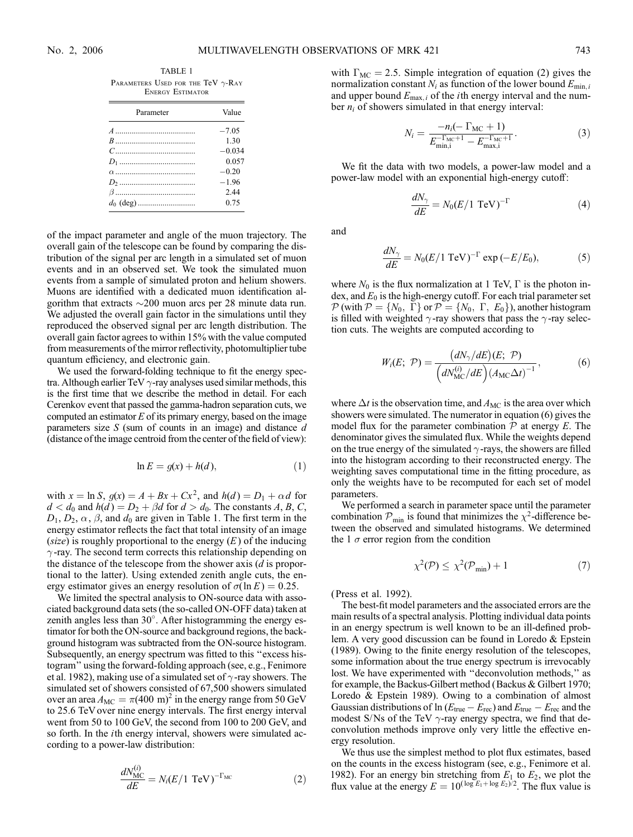TABLE 1 PARAMETERS USED FOR THE TeV  $\gamma$ -Ray Energy Estimator

| Parameter | Value    |
|-----------|----------|
|           | $-7.05$  |
|           | 1 30     |
|           | $-0.034$ |
|           | 0.057    |
|           | $-0.20$  |
|           | $-1.96$  |
|           | 2.44     |
|           | 0.75     |
|           |          |

of the impact parameter and angle of the muon trajectory. The overall gain of the telescope can be found by comparing the distribution of the signal per arc length in a simulated set of muon events and in an observed set. We took the simulated muon events from a sample of simulated proton and helium showers. Muons are identified with a dedicated muon identification algorithm that extracts  $\sim$  200 muon arcs per 28 minute data run. We adjusted the overall gain factor in the simulations until they reproduced the observed signal per arc length distribution. The overall gain factor agrees to within 15% with the value computed from measurements of the mirror reflectivity, photomultiplier tube quantum efficiency, and electronic gain.

We used the forward-folding technique to fit the energy spectra. Although earlier TeV  $\gamma$ -ray analyses used similar methods, this is the first time that we describe the method in detail. For each Cerenkov event that passed the gamma-hadron separation cuts, we computed an estimator  $E$  of its primary energy, based on the image parameters size  $S$  (sum of counts in an image) and distance  $d$ (distance of the image centroid from the center of the field of view):

$$
\ln E = g(x) + h(d),\tag{1}
$$

with  $x = \ln S$ ,  $g(x) = A + Bx + Cx^2$ , and  $h(d) = D_1 + \alpha d$  for  $d < d_0$  and  $h(d) = D_2 + \beta d$  for  $d > d_0$ . The constants A, B, C,  $D_1, D_2, \alpha, \beta$ , and  $d_0$  are given in Table 1. The first term in the energy estimator reflects the fact that total intensity of an image (size) is roughly proportional to the energy  $(E)$  of the inducing  $\gamma$ -ray. The second term corrects this relationship depending on the distance of the telescope from the shower axis  $(d$  is proportional to the latter). Using extended zenith angle cuts, the energy estimator gives an energy resolution of  $\sigma(\ln E) = 0.25$ .

We limited the spectral analysis to ON-source data with associated background data sets (the so-called ON-OFF data) taken at zenith angles less than 30°. After histogramming the energy estimator for both the ON-source and background regions, the background histogram was subtracted from the ON-source histogram. Subsequently, an energy spectrum was fitted to this ''excess histogram'' using the forward-folding approach (see, e.g., Fenimore et al. 1982), making use of a simulated set of  $\gamma$ -ray showers. The simulated set of showers consisted of 67,500 showers simulated over an area  $A_{MC} = \pi (400 \text{ m})^2$  in the energy range from 50 GeV to 25.6 TeV over nine energy intervals. The first energy interval went from 50 to 100 GeV, the second from 100 to 200 GeV, and so forth. In the *i*th energy interval, showers were simulated according to a power-law distribution:

$$
\frac{dN_{\rm MC}^{(i)}}{dE} = N_i (E/1 \text{ TeV})^{-\Gamma_{\rm MC}} \tag{2}
$$

with  $\Gamma_{MC} = 2.5$ . Simple integration of equation (2) gives the normalization constant  $N_i$  as function of the lower bound  $E_{\min,i}$ and upper bound  $E_{\text{max}, i}$  of the *i*th energy interval and the number  $n_i$  of showers simulated in that energy interval:

$$
N_{i} = \frac{-n_{i}(-\Gamma_{\text{MC}} + 1)}{E_{\text{min,i}}^{-\Gamma_{\text{MC}}+1} - E_{\text{max,i}}^{-\Gamma_{\text{MC}}+1}}.
$$
(3)

We fit the data with two models, a power-law model and a power-law model with an exponential high-energy cutoff:

$$
\frac{dN_{\gamma}}{dE} = N_0 (E/1 \text{ TeV})^{-\Gamma} \tag{4}
$$

and

$$
\frac{dN_{\gamma}}{dE} = N_0 (E/1 \text{ TeV})^{-\Gamma} \exp(-E/E_0), \tag{5}
$$

where  $N_0$  is the flux normalization at 1 TeV,  $\Gamma$  is the photon index, and  $E_0$  is the high-energy cutoff. For each trial parameter set  $\mathcal{P}$  (with  $\mathcal{P} = \{N_0, \Gamma\}$  or  $\mathcal{P} = \{N_0, \Gamma, E_0\}$ ), another histogram is filled with weighted  $\gamma$ -ray showers that pass the  $\gamma$ -ray selection cuts. The weights are computed according to

$$
W_i(E; P) = \frac{(dN_{\gamma}/dE)(E; P)}{(dN_{\text{MC}}^{(i)}/dE)(A_{\text{MC}}\Delta t)^{-1}},
$$
\n(6)

where  $\Delta t$  is the observation time, and  $A_{MC}$  is the area over which showers were simulated. The numerator in equation (6) gives the model flux for the parameter combination  $P$  at energy E. The denominator gives the simulated flux. While the weights depend on the true energy of the simulated  $\gamma$ -rays, the showers are filled into the histogram according to their reconstructed energy. The weighting saves computational time in the fitting procedure, as only the weights have to be recomputed for each set of model parameters.

We performed a search in parameter space until the parameter combination  $P_{min}$  is found that minimizes the  $\chi^2$ -difference between the observed and simulated histograms. We determined the 1  $\sigma$  error region from the condition

$$
\chi^2(\mathcal{P}) \le \chi^2(\mathcal{P}_{\text{min}}) + 1\tag{7}
$$

( Press et al. 1992).

The best-fit model parameters and the associated errors are the main results of a spectral analysis. Plotting individual data points in an energy spectrum is well known to be an ill-defined problem. A very good discussion can be found in Loredo & Epstein (1989). Owing to the finite energy resolution of the telescopes, some information about the true energy spectrum is irrevocably lost. We have experimented with ''deconvolution methods,'' as for example, the Backus-Gilbert method (Backus & Gilbert 1970; Loredo & Epstein 1989). Owing to a combination of almost Gaussian distributions of  $\ln(E_{true} - E_{rec})$  and  $E_{true} - E_{rec}$  and the modest S/Ns of the TeV  $\gamma$ -ray energy spectra, we find that deconvolution methods improve only very little the effective energy resolution.

We thus use the simplest method to plot flux estimates, based on the counts in the excess histogram (see, e.g., Fenimore et al. 1982). For an energy bin stretching from  $E_1$  to  $E_2$ , we plot the flux value at the energy  $E = 10^{(\log E_1 + \log E_2)/2}$ . The flux value is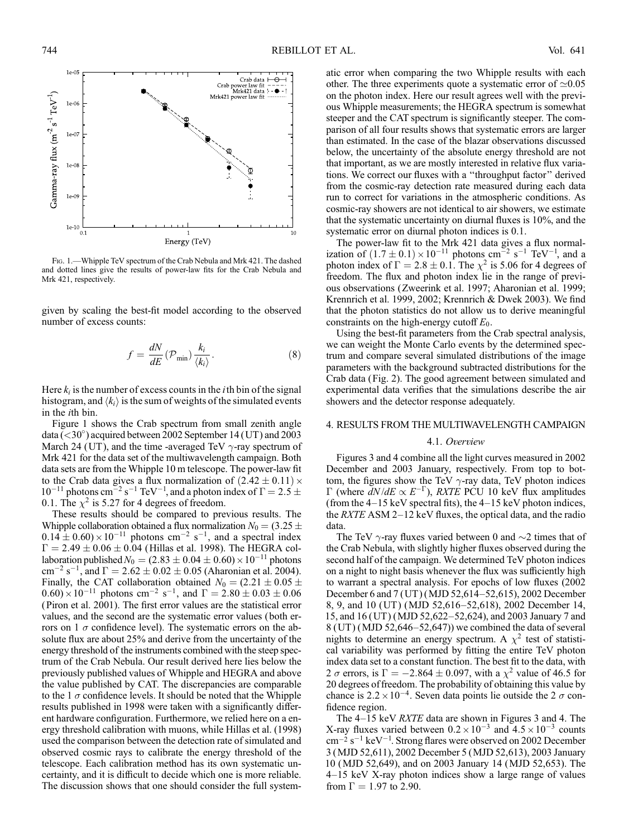

Fig. 1.—Whipple TeV spectrum of the Crab Nebula and Mrk 421. The dashed and dotted lines give the results of power-law fits for the Crab Nebula and Mrk 421, respectively.

given by scaling the best-fit model according to the observed number of excess counts:

$$
f = \frac{dN}{dE}(\mathcal{P}_{\min}) \frac{k_i}{\langle k_i \rangle}.
$$
 (8)

Here  $k_i$  is the number of excess counts in the *i*th bin of the signal histogram, and  $\langle k_i \rangle$  is the sum of weights of the simulated events in the ith bin.

Figure 1 shows the Crab spectrum from small zenith angle data  $(<30^{\circ})$  acquired between 2002 September 14 (UT) and 2003 March 24 (UT), and the time -averaged TeV  $\gamma$ -ray spectrum of Mrk 421 for the data set of the multiwavelength campaign. Both data sets are from the Whipple 10 m telescope. The power-law fit to the Crab data gives a flux normalization of  $(2.42 \pm 0.11) \times$  $10^{-11}$  photons cm<sup>-2</sup> s<sup>-1</sup> TeV<sup>-1</sup>, and a photon index of  $\Gamma = 2.5 \pm$ 0.1. The  $\chi^2$  is 5.27 for 4 degrees of freedom.

These results should be compared to previous results. The Whipple collaboration obtained a flux normalization  $N_0 = (3.25 \pm 1.00)$  $0.14 \pm 0.60$ ) ×  $10^{-11}$  photons cm<sup>-2</sup> s<sup>-1</sup>, and a spectral index  $\Gamma = 2.49 \pm 0.06 \pm 0.04$  (Hillas et al. 1998). The HEGRA collaboration published  $N_0 = (2.83 \pm 0.04 \pm 0.60) \times 10^{-11}$  photons cm<sup>-2</sup> s<sup>-1</sup>, and  $\Gamma = 2.62 \pm 0.02 \pm 0.05$  (Aharonian et al. 2004). Finally, the CAT collaboration obtained  $N_0 = (2.21 \pm 0.05 \pm 0.05)$  $(0.60) \times 10^{-11}$  photons cm<sup>-2</sup> s<sup>-1</sup>, and  $\Gamma = 2.80 \pm 0.03 \pm 0.06$ (Piron et al. 2001). The first error values are the statistical error values, and the second are the systematic error values (both errors on 1  $\sigma$  confidence level). The systematic errors on the absolute flux are about 25% and derive from the uncertainty of the energy threshold of the instruments combined with the steep spectrum of the Crab Nebula. Our result derived here lies below the previously published values of Whipple and HEGRA and above the value published by CAT. The discrepancies are comparable to the 1  $\sigma$  confidence levels. It should be noted that the Whipple results published in 1998 were taken with a significantly different hardware configuration. Furthermore, we relied here on a energy threshold calibration with muons, while Hillas et al. (1998) used the comparison between the detection rate of simulated and observed cosmic rays to calibrate the energy threshold of the telescope. Each calibration method has its own systematic uncertainty, and it is difficult to decide which one is more reliable. The discussion shows that one should consider the full systematic error when comparing the two Whipple results with each other. The three experiments quote a systematic error of  $\simeq 0.05$ on the photon index. Here our result agrees well with the previous Whipple measurements; the HEGRA spectrum is somewhat steeper and the CAT spectrum is significantly steeper. The comparison of all four results shows that systematic errors are larger than estimated. In the case of the blazar observations discussed below, the uncertainty of the absolute energy threshold are not that important, as we are mostly interested in relative flux variations. We correct our fluxes with a ''throughput factor'' derived from the cosmic-ray detection rate measured during each data run to correct for variations in the atmospheric conditions. As cosmic-ray showers are not identical to air showers, we estimate that the systematic uncertainty on diurnal fluxes is 10%, and the systematic error on diurnal photon indices is 0.1.

The power-law fit to the Mrk 421 data gives a flux normalization of  $(1.7 \pm 0.1) \times 10^{-11}$  photons cm<sup>-2</sup> s<sup>-1</sup> TeV<sup>-1</sup>, and a photon index of  $\Gamma = 2.8 \pm 0.1$ . The  $\chi^2$  is 5.06 for 4 degrees of freedom. The flux and photon index lie in the range of previous observations (Zweerink et al. 1997; Aharonian et al. 1999; Krennrich et al. 1999, 2002; Krennrich & Dwek 2003). We find that the photon statistics do not allow us to derive meaningful constraints on the high-energy cutoff  $E_0$ .

Using the best-fit parameters from the Crab spectral analysis, we can weight the Monte Carlo events by the determined spectrum and compare several simulated distributions of the image parameters with the background subtracted distributions for the Crab data (Fig. 2). The good agreement between simulated and experimental data verifies that the simulations describe the air showers and the detector response adequately.

## 4. RESULTS FROM THE MULTIWAVELENGTH CAMPAIGN

### 4.1. Overview

Figures 3 and 4 combine all the light curves measured in 2002 December and 2003 January, respectively. From top to bottom, the figures show the TeV  $\gamma$ -ray data, TeV photon indices  $\Gamma$  (where  $dN/dE \propto E^{-1}$ ), *RXTE* PCU 10 keV flux amplitudes (from the 4–15 keV spectral fits), the 4–15 keV photon indices, the RXTE ASM 2–12 keV fluxes, the optical data, and the radio data.

The TeV  $\gamma$ -ray fluxes varied between 0 and  $\sim$ 2 times that of the Crab Nebula, with slightly higher fluxes observed during the second half of the campaign. We determined TeV photon indices on a night to night basis whenever the flux was sufficiently high to warrant a spectral analysis. For epochs of low fluxes (2002 December 6 and 7 (UT ) (MJD 52,614–52,615), 2002 December 8, 9, and 10 (UT) (MJD 52,616–52,618), 2002 December 14, 15, and 16 (UT ) (MJD 52,622–52,624), and 2003 January 7 and 8 (UT) (MJD 52,646–52,647)) we combined the data of several nights to determine an energy spectrum. A  $\chi^2$  test of statistical variability was performed by fitting the entire TeV photon index data set to a constant function. The best fit to the data, with 2  $\sigma$  errors, is  $\Gamma = -2.864 \pm 0.097$ , with a  $\chi^2$  value of 46.5 for 20 degrees of freedom. The probability of obtaining this value by chance is  $2.2 \times 10^{-4}$ . Seven data points lie outside the 2  $\sigma$  confidence region.

The 4–15 keV RXTE data are shown in Figures 3 and 4. The X-ray fluxes varied between  $0.2 \times 10^{-3}$  and  $4.5 \times 10^{-3}$  counts  $\rm cm^{-2}\,s^{-1}\,keV^{-1}.$  Strong flares were observed on 2002 December 3 (MJD 52,611), 2002 December 5 (MJD 52,613), 2003 January 10 (MJD 52,649), and on 2003 January 14 (MJD 52,653). The 4–15 keV X-ray photon indices show a large range of values from  $\Gamma = 1.97$  to 2.90.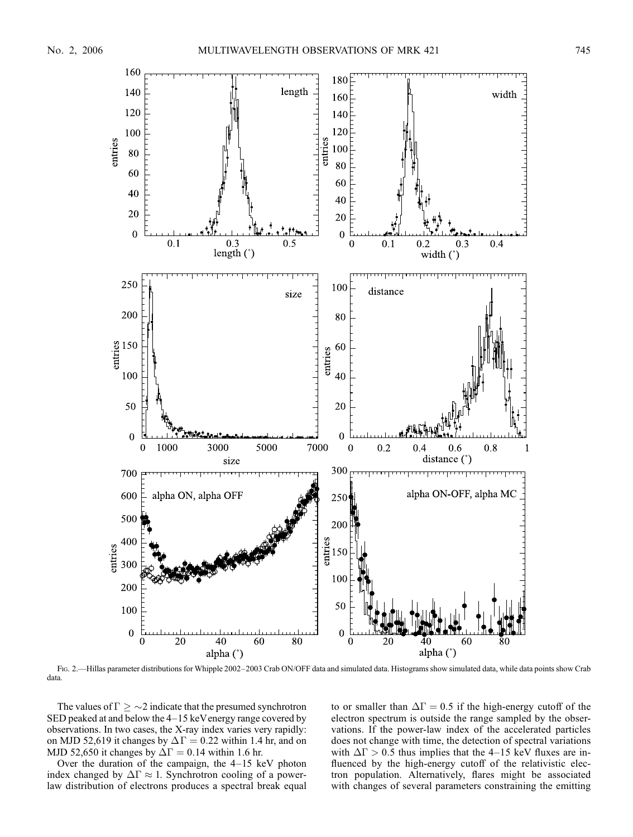

FIG. 2.—Hillas parameter distributions for Whipple 2002-2003 Crab ON/OFF data and simulated data. Histograms show simulated data, while data points show Crab data.

The values of  $\Gamma \geq 2$  indicate that the presumed synchrotron SED peaked at and below the 4–15 keVenergy range covered by observations. In two cases, the X-ray index varies very rapidly: on MJD 52,619 it changes by  $\Delta \Gamma = 0.22$  within 1.4 hr, and on MJD 52,650 it changes by  $\Delta \Gamma = 0.14$  within 1.6 hr.

Over the duration of the campaign, the 4–15 keV photon index changed by  $\Delta\Gamma \approx 1$ . Synchrotron cooling of a powerlaw distribution of electrons produces a spectral break equal

to or smaller than  $\Delta\Gamma = 0.5$  if the high-energy cutoff of the electron spectrum is outside the range sampled by the observations. If the power-law index of the accelerated particles does not change with time, the detection of spectral variations with  $\Delta \Gamma > 0.5$  thus implies that the 4–15 keV fluxes are influenced by the high-energy cutoff of the relativistic electron population. Alternatively, flares might be associated with changes of several parameters constraining the emitting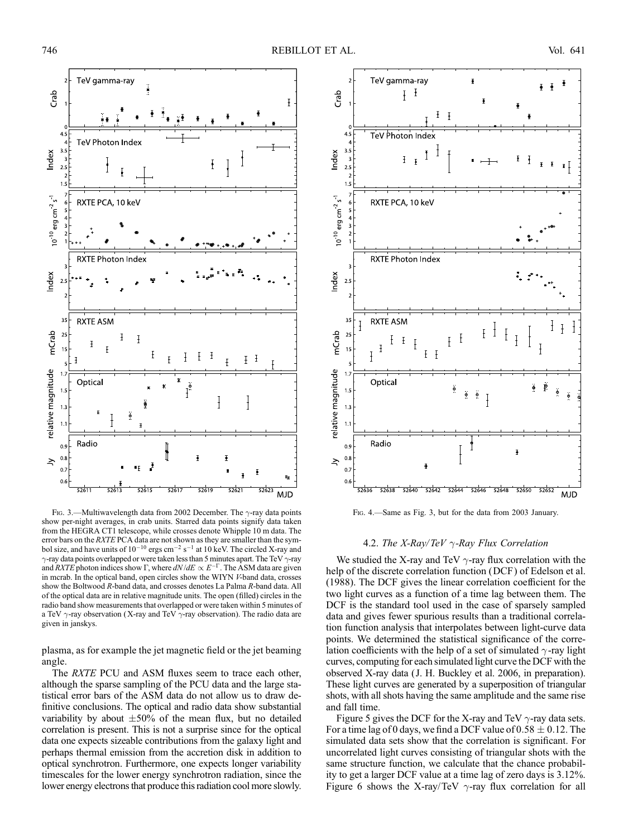

Fig. 3.—Multiwavelength data from 2002 December. The  $\gamma$ -ray data points show per-night averages, in crab units. Starred data points signify data taken from the HEGRA CT1 telescope, while crosses denote Whipple 10 m data. The error bars on the RXTE PCA data are not shown as they are smaller than the symbol size, and have units of  $10^{-10}$  ergs cm<sup>-2</sup> s<sup>-1</sup> at 10 keV. The circled X-ray and  $\gamma$ -ray data points overlapped or were taken less than 5 minutes apart. The TeV  $\gamma$ -ray and RXTE photon indices show  $\Gamma$ , where  $dN/dE \propto E^{-\Gamma}$ . The ASM data are given in mcrab. In the optical band, open circles show the WIYN V-band data, crosses show the Boltwood R-band data, and crosses denotes La Palma R-band data. All of the optical data are in relative magnitude units. The open (filled) circles in the radio band show measurements that overlapped or were taken within 5 minutes of a TeV  $\gamma$ -ray observation (X-ray and TeV  $\gamma$ -ray observation). The radio data are given in janskys.

plasma, as for example the jet magnetic field or the jet beaming angle.

The RXTE PCU and ASM fluxes seem to trace each other, although the sparse sampling of the PCU data and the large statistical error bars of the ASM data do not allow us to draw definitive conclusions. The optical and radio data show substantial variability by about  $\pm 50\%$  of the mean flux, but no detailed correlation is present. This is not a surprise since for the optical data one expects sizeable contributions from the galaxy light and perhaps thermal emission from the accretion disk in addition to optical synchrotron. Furthermore, one expects longer variability timescales for the lower energy synchrotron radiation, since the lower energy electrons that produce this radiation cool more slowly.



Fig. 4.—Same as Fig. 3, but for the data from 2003 January.

## 4.2. The X-Ray/TeV  $\gamma$ -Ray Flux Correlation

We studied the X-ray and TeV  $\gamma$ -ray flux correlation with the help of the discrete correlation function (DCF ) of Edelson et al. (1988). The DCF gives the linear correlation coefficient for the two light curves as a function of a time lag between them. The DCF is the standard tool used in the case of sparsely sampled data and gives fewer spurious results than a traditional correlation function analysis that interpolates between light-curve data points. We determined the statistical significance of the correlation coefficients with the help of a set of simulated  $\gamma$ -ray light curves, computing for each simulated light curve the DCF with the observed X-ray data (J. H. Buckley et al. 2006, in preparation). These light curves are generated by a superposition of triangular shots, with all shots having the same amplitude and the same rise and fall time.

Figure 5 gives the DCF for the X-ray and TeV  $\gamma$ -ray data sets. For a time lag of 0 days, we find a DCF value of  $0.58 \pm 0.12$ . The simulated data sets show that the correlation is significant. For uncorrelated light curves consisting of triangular shots with the same structure function, we calculate that the chance probability to get a larger DCF value at a time lag of zero days is 3.12%. Figure 6 shows the X-ray/TeV  $\gamma$ -ray flux correlation for all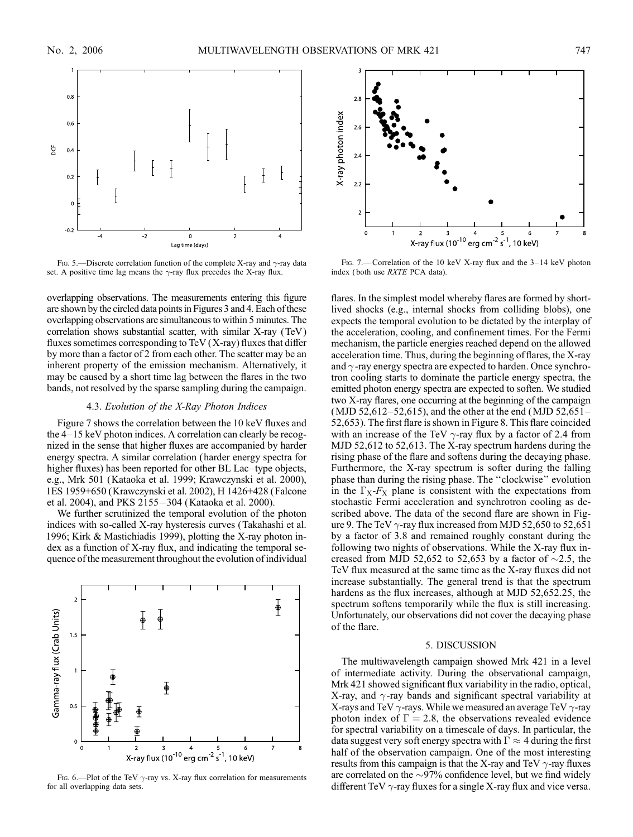

Fig. 5.—Discrete correlation function of the complete X-ray and  $\gamma$ -ray data set. A positive time lag means the  $\gamma$ -ray flux precedes the X-ray flux.

overlapping observations. The measurements entering this figure are shown by the circled data points in Figures 3 and 4. Each of these overlapping observations are simultaneous to within 5 minutes. The correlation shows substantial scatter, with similar X-ray (TeV ) fluxes sometimes corresponding to TeV  $(X-ray)$  fluxes that differ by more than a factor of 2 from each other. The scatter may be an inherent property of the emission mechanism. Alternatively, it may be caused by a short time lag between the flares in the two bands, not resolved by the sparse sampling during the campaign.

#### 4.3. Evolution of the X-Ray Photon Indices

Figure 7 shows the correlation between the 10 keV fluxes and the 4–15 keV photon indices. A correlation can clearly be recognized in the sense that higher fluxes are accompanied by harder energy spectra. A similar correlation (harder energy spectra for higher fluxes) has been reported for other BL Lac–type objects, e.g., Mrk 501 (Kataoka et al. 1999; Krawczynski et al. 2000), 1ES 1959+650 (Krawczynski et al. 2002), H 1426+428 (Falcone et al. 2004), and PKS 2155-304 (Kataoka et al. 2000).

We further scrutinized the temporal evolution of the photon indices with so-called X-ray hysteresis curves (Takahashi et al. 1996; Kirk & Mastichiadis 1999), plotting the X-ray photon index as a function of X-ray flux, and indicating the temporal sequence of the measurement throughout the evolution of individual



Fig. 6.—Plot of the TeV  $\gamma$ -ray vs. X-ray flux correlation for measurements for all overlapping data sets.



FIG. 7.—Correlation of the 10 keV X-ray flux and the 3-14 keV photon index ( both use RXTE PCA data).

flares. In the simplest model whereby flares are formed by shortlived shocks (e.g., internal shocks from colliding blobs), one expects the temporal evolution to be dictated by the interplay of the acceleration, cooling, and confinement times. For the Fermi mechanism, the particle energies reached depend on the allowed acceleration time. Thus, during the beginning of flares, the X-ray and  $\gamma$ -ray energy spectra are expected to harden. Once synchrotron cooling starts to dominate the particle energy spectra, the emitted photon energy spectra are expected to soften. We studied two X-ray flares, one occurring at the beginning of the campaign (MJD 52,612–52,615), and the other at the end (MJD 52,651– 52,653). The first flare is shown in Figure 8. This flare coincided with an increase of the TeV  $\gamma$ -ray flux by a factor of 2.4 from MJD 52,612 to 52,613. The X-ray spectrum hardens during the rising phase of the flare and softens during the decaying phase. Furthermore, the X-ray spectrum is softer during the falling phase than during the rising phase. The ''clockwise'' evolution in the  $\Gamma_X$ - $F_X$  plane is consistent with the expectations from stochastic Fermi acceleration and synchrotron cooling as described above. The data of the second flare are shown in Figure 9. The TeV  $\gamma$ -ray flux increased from MJD 52,650 to 52,651 by a factor of 3.8 and remained roughly constant during the following two nights of observations. While the X-ray flux increased from MJD 52,652 to 52,653 by a factor of  $\sim$ 2.5, the TeV flux measured at the same time as the X-ray fluxes did not increase substantially. The general trend is that the spectrum hardens as the flux increases, although at MJD 52,652.25, the spectrum softens temporarily while the flux is still increasing. Unfortunately, our observations did not cover the decaying phase of the flare.

#### 5. DISCUSSION

The multiwavelength campaign showed Mrk 421 in a level of intermediate activity. During the observational campaign, Mrk 421 showed significant flux variability in the radio, optical, X-ray, and  $\gamma$ -ray bands and significant spectral variability at X-rays and TeV  $\gamma$ -rays. While we measured an average TeV  $\gamma$ -ray photon index of  $\Gamma = 2.8$ , the observations revealed evidence for spectral variability on a timescale of days. In particular, the data suggest very soft energy spectra with  $\Gamma \approx 4$  during the first half of the observation campaign. One of the most interesting results from this campaign is that the X-ray and TeV  $\gamma$ -ray fluxes are correlated on the  $\sim$ 97% confidence level, but we find widely different TeV  $\gamma$ -ray fluxes for a single X-ray flux and vice versa.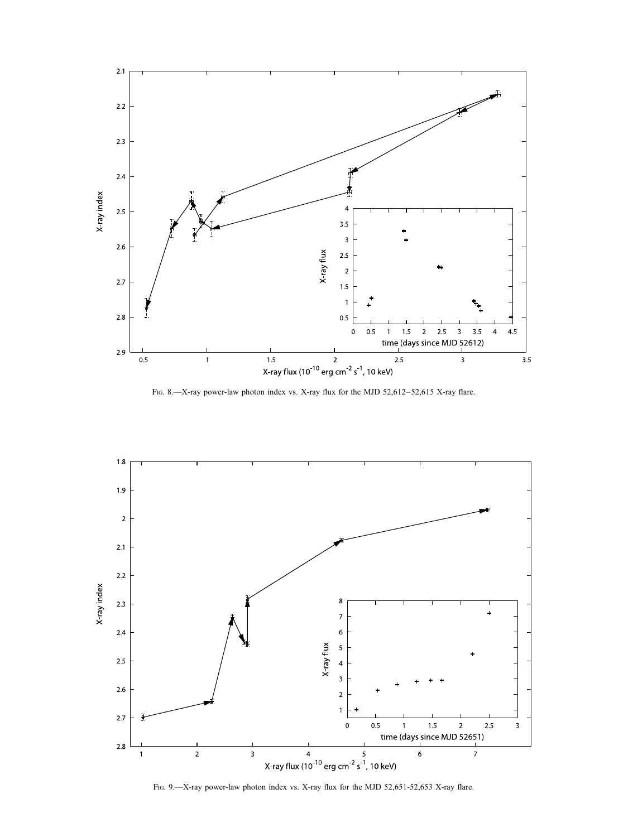

FIG. 8.—X-ray power-law photon index vs. X-ray flux for the MJD 52,612-52,615 X-ray flare.



Fig. 9.—X-ray power-law photon index vs. X-ray flux for the MJD 52,651-52,653 X-ray flare.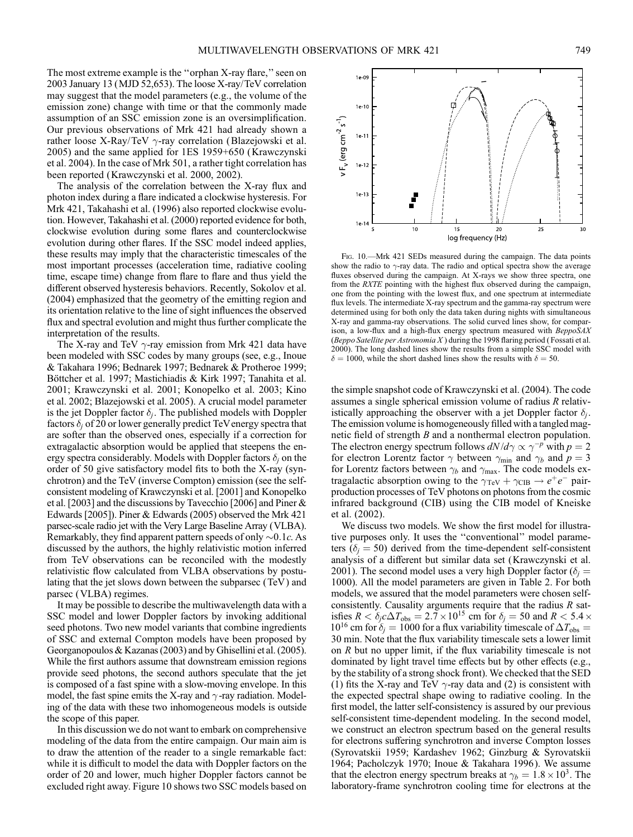The most extreme example is the ''orphan X-ray flare,'' seen on 2003 January 13 (MJD 52,653). The loose X-ray/TeV correlation may suggest that the model parameters (e.g., the volume of the emission zone) change with time or that the commonly made assumption of an SSC emission zone is an oversimplification. Our previous observations of Mrk 421 had already shown a rather loose X-Ray/TeV  $\gamma$ -ray correlation (Blazejowski et al. 2005) and the same applied for 1ES 1959+650 (Krawczynski et al. 2004). In the case of Mrk 501, a rather tight correlation has been reported (Krawczynski et al. 2000, 2002).

The analysis of the correlation between the X-ray flux and photon index during a flare indicated a clockwise hysteresis. For Mrk 421, Takahashi et al. (1996) also reported clockwise evolution. However, Takahashi et al. (2000) reported evidence for both, clockwise evolution during some flares and counterclockwise evolution during other flares. If the SSC model indeed applies, these results may imply that the characteristic timescales of the most important processes (acceleration time, radiative cooling time, escape time) change from flare to flare and thus yield the different observed hysteresis behaviors. Recently, Sokolov et al. (2004) emphasized that the geometry of the emitting region and its orientation relative to the line of sight influences the observed flux and spectral evolution and might thus further complicate the interpretation of the results.

The X-ray and TeV  $\gamma$ -ray emission from Mrk 421 data have been modeled with SSC codes by many groups (see, e.g., Inoue & Takahara 1996; Bednarek 1997; Bednarek & Protheroe 1999; Böttcher et al. 1997; Mastichiadis & Kirk 1997; Tanahita et al. 2001; Krawczynski et al. 2001; Konopelko et al. 2003; Kino et al. 2002; Blazejowski et al. 2005). A crucial model parameter is the jet Doppler factor  $\delta_j$ . The published models with Doppler factors  $\delta_j$  of 20 or lower generally predict TeV energy spectra that are softer than the observed ones, especially if a correction for extragalactic absorption would be applied that steepens the energy spectra considerably. Models with Doppler factors  $\delta_j$  on the order of 50 give satisfactory model fits to both the X-ray (synchrotron) and the TeV (inverse Compton) emission (see the selfconsistent modeling of Krawczynski et al. [2001] and Konopelko et al. [2003] and the discussions by Tavecchio [2006] and Piner & Edwards [2005]). Piner & Edwards (2005) observed the Mrk 421 parsec-scale radio jet with the Very Large Baseline Array (VLBA). Remarkably, they find apparent pattern speeds of only  $\sim 0.1c$ . As discussed by the authors, the highly relativistic motion inferred from TeV observations can be reconciled with the modestly relativistic flow calculated from VLBA observations by postulating that the jet slows down between the subparsec (TeV ) and parsec (VLBA) regimes.

It may be possible to describe the multiwavelength data with a SSC model and lower Doppler factors by invoking additional seed photons. Two new model variants that combine ingredients of SSC and external Compton models have been proposed by Georganopoulos & Kazanas (2003) and by Ghisellini et al. (2005). While the first authors assume that downstream emission regions provide seed photons, the second authors speculate that the jet is composed of a fast spine with a slow-moving envelope. In this model, the fast spine emits the X-ray and  $\gamma$ -ray radiation. Modeling of the data with these two inhomogeneous models is outside the scope of this paper.

In this discussion we do not want to embark on comprehensive modeling of the data from the entire campaign. Our main aim is to draw the attention of the reader to a single remarkable fact: while it is difficult to model the data with Doppler factors on the order of 20 and lower, much higher Doppler factors cannot be excluded right away. Figure 10 shows two SSC models based on



Fig. 10.—Mrk 421 SEDs measured during the campaign. The data points show the radio to  $\gamma$ -ray data. The radio and optical spectra show the average fluxes observed during the campaign. At X-rays we show three spectra, one from the RXTE pointing with the highest flux observed during the campaign, one from the pointing with the lowest flux, and one spectrum at intermediate flux levels. The intermediate X-ray spectrum and the gamma-ray spectrum were determined using for both only the data taken during nights with simultaneous X-ray and gamma-ray observations. The solid curved lines show, for comparison, a low-flux and a high-flux energy spectrum measured with BeppoSAX (Beppo Satellite per Astronomia  $X$ ) during the 1998 flaring period (Fossati et al. 2000). The long dashed lines show the results from a simple SSC model with  $\delta = 1000$ , while the short dashed lines show the results with  $\delta = 50$ .

the simple snapshot code of Krawczynski et al. (2004). The code assumes a single spherical emission volume of radius R relativistically approaching the observer with a jet Doppler factor  $\delta_j$ . The emission volume is homogeneously filled with a tangled magnetic field of strength B and a nonthermal electron population. The electron energy spectrum follows  $dN/d\gamma \propto \gamma^{-p}$  with  $p = 2$ for electron Lorentz factor  $\gamma$  between  $\gamma_{\min}$  and  $\gamma_b$  and  $p = 3$ for Lorentz factors between  $\gamma_b$  and  $\gamma_{\text{max}}$ . The code models extragalactic absorption owing to the  $\gamma_{\text{TeV}} + \gamma_{\text{CIB}} \rightarrow e^+e^-$  pairproduction processes of TeV photons on photons from the cosmic infrared background (CIB) using the CIB model of Kneiske et al. (2002).

We discuss two models. We show the first model for illustrative purposes only. It uses the ''conventional'' model parameters ( $\delta_j$  = 50) derived from the time-dependent self-consistent analysis of a different but similar data set (Krawczynski et al. 2001). The second model uses a very high Doppler factor ( $\delta_j =$ 1000). All the model parameters are given in Table 2. For both models, we assured that the model parameters were chosen selfconsistently. Causality arguments require that the radius  *sat*isfies  $R < \delta_j c \Delta T_{obs} = 2.7 \times 10^{15}$  cm for  $\delta_j = 50$  and  $R < 5.4 \times 10^{15}$  $10^{16}$  cm for  $\delta_j = 1000$  for a flux variability timescale of  $\Delta T_{obs} =$ 30 min. Note that the flux variability timescale sets a lower limit on  *but no upper limit, if the flux variability timescale is not* dominated by light travel time effects but by other effects (e.g., by the stability of a strong shock front). We checked that the SED (1) fits the X-ray and TeV  $\gamma$ -ray data and (2) is consistent with the expected spectral shape owing to radiative cooling. In the first model, the latter self-consistency is assured by our previous self-consistent time-dependent modeling. In the second model, we construct an electron spectrum based on the general results for electrons suffering synchrotron and inverse Compton losses (Syrovatskii 1959; Kardashev 1962; Ginzburg & Syrovatskii 1964; Pacholczyk 1970; Inoue & Takahara 1996). We assume that the electron energy spectrum breaks at  $\gamma_b = 1.8 \times 10^3$ . The laboratory-frame synchrotron cooling time for electrons at the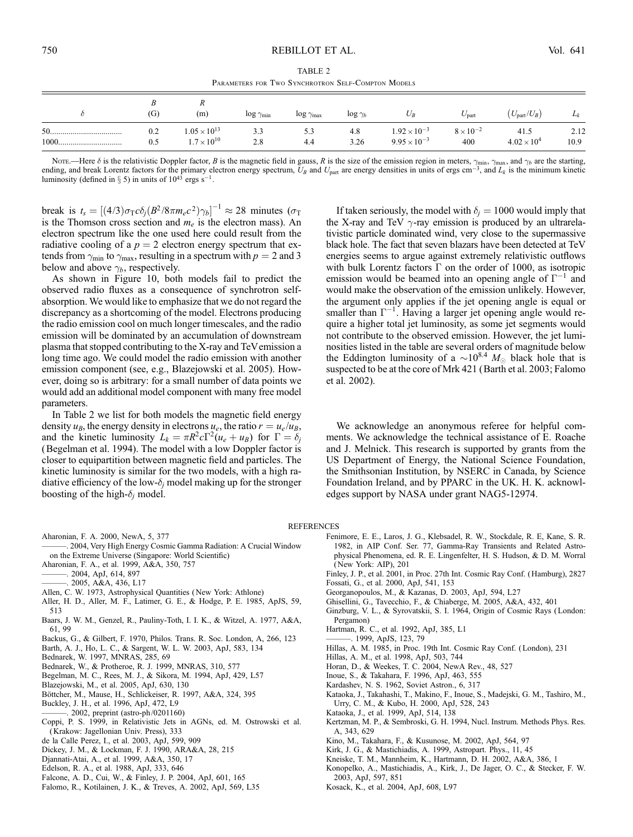| TABLE 2                                            |  |  |  |  |  |  |  |
|----------------------------------------------------|--|--|--|--|--|--|--|
| PARAMETERS FOR TWO SYNCHROTRON SELF-COMPTON MODELS |  |  |  |  |  |  |  |

| D<br>(G) | ĸ<br>(m)              | $log \gamma_{min}$ | $log \gamma_{max}$ | $\log \gamma_b$ | $U_B$                 | $U_{\text{part}}$  | $(U_{\mathrm{part}}/U_B)$ | $L_k$ |
|----------|-----------------------|--------------------|--------------------|-----------------|-----------------------|--------------------|---------------------------|-------|
| 0.2      | $1.05 \times 10^{13}$ | 3.3                | 5.3                | 4.8             | $1.92 \times 10^{-3}$ | $8 \times 10^{-2}$ | 41.5                      | 2.12  |
| 0.5      | $1.7 \times 10^{10}$  | 2.8                | 4.4                | 3.26            | $9.95 \times 10^{-3}$ | 400                | $4.02 \times 10^{4}$      | 10.9  |

Note.—Here  $\delta$  is the relativistic Doppler factor, B is the magnetic field in gauss, R is the size of the emission region in meters,  $\gamma_{\text{min}}$ ,  $\gamma_{\text{max}}$ , and  $\gamma_b$  are the starting, ending, and break Lorentz factors for the primary electron energy spectrum,  $U_B$  and  $U_{part}$  are energy densities in units of ergs cm<sup>-3</sup>, and  $L_k$  is the minimum kinetic luminosity (defined in  $\S 5$ ) in units of  $10^{43}$  ergs s<sup>-1</sup>.

break is  $t_s = [(4/3)\sigma_T c \delta_j (B^2/8\pi m_e c^2)\gamma_b]^{-1} \approx 28$  minutes  $(\sigma_T)$ is the Thomson cross section and  $m_e$  is the electron mass). An electron spectrum like the one used here could result from the radiative cooling of a  $p = 2$  electron energy spectrum that extends from  $\gamma_{min}$  to  $\gamma_{max}$ , resulting in a spectrum with  $p = 2$  and 3 below and above  $\gamma_b$ , respectively.

As shown in Figure 10, both models fail to predict the observed radio fluxes as a consequence of synchrotron selfabsorption. We would like to emphasize that we do not regard the discrepancy as a shortcoming of the model. Electrons producing the radio emission cool on much longer timescales, and the radio emission will be dominated by an accumulation of downstream plasma that stopped contributing to the X-ray and TeVemission a long time ago. We could model the radio emission with another emission component (see, e.g., Blazejowski et al. 2005). However, doing so is arbitrary: for a small number of data points we would add an additional model component with many free model parameters.

In Table 2 we list for both models the magnetic field energy density  $u_B$ , the energy density in electrons  $u_e$ , the ratio  $r = u_e/u_B$ , and the kinetic luminosity  $L_k = \pi R^2 c \Gamma^2 (u_e + u_B)$  for  $\Gamma = \delta_j$ (Begelman et al. 1994). The model with a low Doppler factor is closer to equipartition between magnetic field and particles. The kinetic luminosity is similar for the two models, with a high radiative efficiency of the low- $\delta_j$  model making up for the stronger boosting of the high- $\delta_j$  model.

If taken seriously, the model with  $\delta_j = 1000$  would imply that the X-ray and TeV  $\gamma$ -ray emission is produced by an ultrarelativistic particle dominated wind, very close to the supermassive black hole. The fact that seven blazars have been detected at TeV energies seems to argue against extremely relativistic outflows with bulk Lorentz factors  $\Gamma$  on the order of 1000, as isotropic emission would be beamed into an opening angle of  $\Gamma^{-1}$  and would make the observation of the emission unlikely. However, the argument only applies if the jet opening angle is equal or smaller than  $\Gamma^{-1}$ . Having a larger jet opening angle would require a higher total jet luminosity, as some jet segments would not contribute to the observed emission. However, the jet luminosities listed in the table are several orders of magnitude below the Eddington luminosity of a  $\sim 10^{8.4}$   $M_{\odot}$  black hole that is suspected to be at the core of Mrk 421 (Barth et al. 2003; Falomo et al. 2002).

We acknowledge an anonymous referee for helpful comments. We acknowledge the technical assistance of E. Roache and J. Melnick. This research is supported by grants from the US Department of Energy, the National Science Foundation, the Smithsonian Institution, by NSERC in Canada, by Science Foundation Ireland, and by PPARC in the UK. H. K. acknowledges support by NASA under grant NAG5-12974.

# **REFERENCES**

- Aharonian, F. A. 2000, NewA, 5, 377
- ———. 2004, Very High Energy Cosmic Gamma Radiation: A Crucial Window on the Extreme Universe (Singapore: World Scientific)
- Aharonian, F. A., et al. 1999, A&A, 350, 757
- ———. 2004, ApJ, 614, 897
- $-$ . 2005, A&A, 436, L17
- Allen, C. W. 1973, Astrophysical Quantities ( New York: Athlone)
- Aller, H. D., Aller, M. F., Latimer, G. E., & Hodge, P. E. 1985, ApJS, 59, 513
- Baars, J. W. M., Genzel, R., Pauliny-Toth, I. I. K., & Witzel, A. 1977, A&A, 61, 99
- Backus, G., & Gilbert, F. 1970, Philos. Trans. R. Soc. London, A, 266, 123
- Barth, A. J., Ho, L. C., & Sargent, W. L. W. 2003, ApJ, 583, 134
- Bednarek, W. 1997, MNRAS, 285, 69
- Bednarek, W., & Protheroe, R. J. 1999, MNRAS, 310, 577
- Begelman, M. C., Rees, M. J., & Sikora, M. 1994, ApJ, 429, L57
- Blazejowski, M., et al. 2005, ApJ, 630, 130
- Böttcher, M., Mause, H., Schlickeiser, R. 1997, A&A, 324, 395
- Buckley, J. H., et al. 1996, ApJ, 472, L9
- ———. 2002, preprint (astro-ph/0201160)
- Coppi, P. S. 1999, in Relativistic Jets in AGNs, ed. M. Ostrowski et al.

( Krakow: Jagellonian Univ. Press), 333

- de la Calle Perez, I., et al. 2003, ApJ, 599, 909
- Dickey, J. M., & Lockman, F. J. 1990, ARA&A, 28, 215
- Djannati-Atai, A., et al. 1999, A&A, 350, 17
- Edelson, R. A., et al. 1988, ApJ, 333, 646
- Falcone, A. D., Cui, W., & Finley, J. P. 2004, ApJ, 601, 165
- Falomo, R., Kotilainen, J. K., & Treves, A. 2002, ApJ, 569, L35
- Fenimore, E. E., Laros, J. G., Klebsadel, R. W., Stockdale, R. E, Kane, S. R. 1982, in AIP Conf. Ser. 77, Gamma-Ray Transients and Related Astrophysical Phenomena, ed. R. E. Lingenfelter, H. S. Hudson, & D. M. Worral (New York: AIP), 201
- Finley, J. P., et al. 2001, in Proc. 27th Int. Cosmic Ray Conf. ( Hamburg), 2827 Fossati, G., et al. 2000, ApJ, 541, 153
- Georganopoulos, M., & Kazanas, D. 2003, ApJ, 594, L27
- Ghisellini, G., Tavecchio, F., & Chiaberge, M. 2005, A&A, 432, 401
- Ginzburg, V. L., & Syrovatskii, S. I. 1964, Origin of Cosmic Rays ( London: Pergamon)
- Hartman, R. C., et al. 1992, ApJ, 385, L1
- ———. 1999, ApJS, 123, 79
- Hillas, A. M. 1985, in Proc. 19th Int. Cosmic Ray Conf. ( London), 231
- Hillas, A. M., et al. 1998, ApJ, 503, 744
- Horan, D., & Weekes, T. C. 2004, NewA Rev., 48, 527
- Inoue, S., & Takahara, F. 1996, ApJ, 463, 555
- Kardashev, N. S. 1962, Soviet Astron., 6, 317
- Kataoka, J., Takahashi, T., Makino, F., Inoue, S., Madejski, G. M., Tashiro, M., Urry, C. M., & Kubo, H. 2000, ApJ, 528, 243
- Kataoka, J., et al. 1999, ApJ, 514, 138
- Kertzman, M. P., & Sembroski, G. H. 1994, Nucl. Instrum. Methods Phys. Res. A, 343, 629
- Kino, M., Takahara, F., & Kusunose, M. 2002, ApJ, 564, 97
- Kirk, J. G., & Mastichiadis, A. 1999, Astropart. Phys., 11, 45
- Kneiske, T. M., Mannheim, K., Hartmann, D. H. 2002, A&A, 386, 1
- Konopelko, A., Mastichiadis, A., Kirk, J., De Jager, O. C., & Stecker, F. W. 2003, ApJ, 597, 851
- Kosack, K., et al. 2004, ApJ, 608, L97